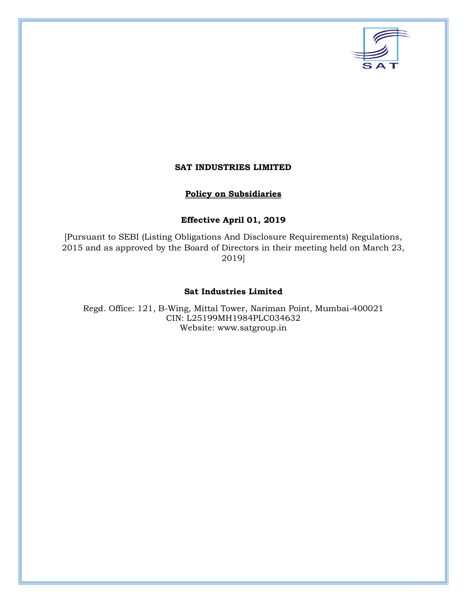

## **SAT INDUSTRIES LIMITED**

## **Policy on Subsidiaries**

# **Effective April 01, 2019**

[Pursuant to SEBI (Listing Obligations And Disclosure Requirements) Regulations, 2015 and as approved by the Board of Directors in their meeting held on March 23, 2019]

#### **Sat Industries Limited**

Regd. Office: 121, B-Wing, Mittal Tower, Nariman Point, Mumbai-400021 CIN: L25199MH1984PLC034632 Website: [www.satgroup.in](http://www.satgroup.in/)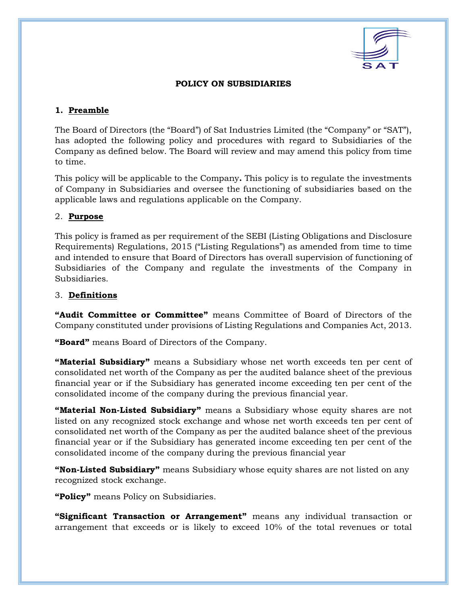

## **POLICY ON SUBSIDIARIES**

## **1. Preamble**

The Board of Directors (the "Board") of Sat Industries Limited (the "Company" or "SAT"), has adopted the following policy and procedures with regard to Subsidiaries of the Company as defined below. The Board will review and may amend this policy from time to time.

This policy will be applicable to the Company**.** This policy is to regulate the investments of Company in Subsidiaries and oversee the functioning of subsidiaries based on the applicable laws and regulations applicable on the Company.

## 2. **Purpose**

This policy is framed as per requirement of the SEBI (Listing Obligations and Disclosure Requirements) Regulations, 2015 ("Listing Regulations") as amended from time to time and intended to ensure that Board of Directors has overall supervision of functioning of Subsidiaries of the Company and regulate the investments of the Company in Subsidiaries.

## 3. **Definitions**

**"Audit Committee or Committee"** means Committee of Board of Directors of the Company constituted under provisions of Listing Regulations and Companies Act, 2013.

**"Board"** means Board of Directors of the Company.

**"Material Subsidiary"** means a Subsidiary whose net worth exceeds ten per cent of consolidated net worth of the Company as per the audited balance sheet of the previous financial year or if the Subsidiary has generated income exceeding ten per cent of the consolidated income of the company during the previous financial year.

**"Material Non-Listed Subsidiary"** means a Subsidiary whose equity shares are not listed on any recognized stock exchange and whose net worth exceeds ten per cent of consolidated net worth of the Company as per the audited balance sheet of the previous financial year or if the Subsidiary has generated income exceeding ten per cent of the consolidated income of the company during the previous financial year

**"Non-Listed Subsidiary"** means Subsidiary whose equity shares are not listed on any recognized stock exchange.

**"Policy"** means Policy on Subsidiaries.

**"Significant Transaction or Arrangement"** means any individual transaction or arrangement that exceeds or is likely to exceed 10% of the total revenues or total